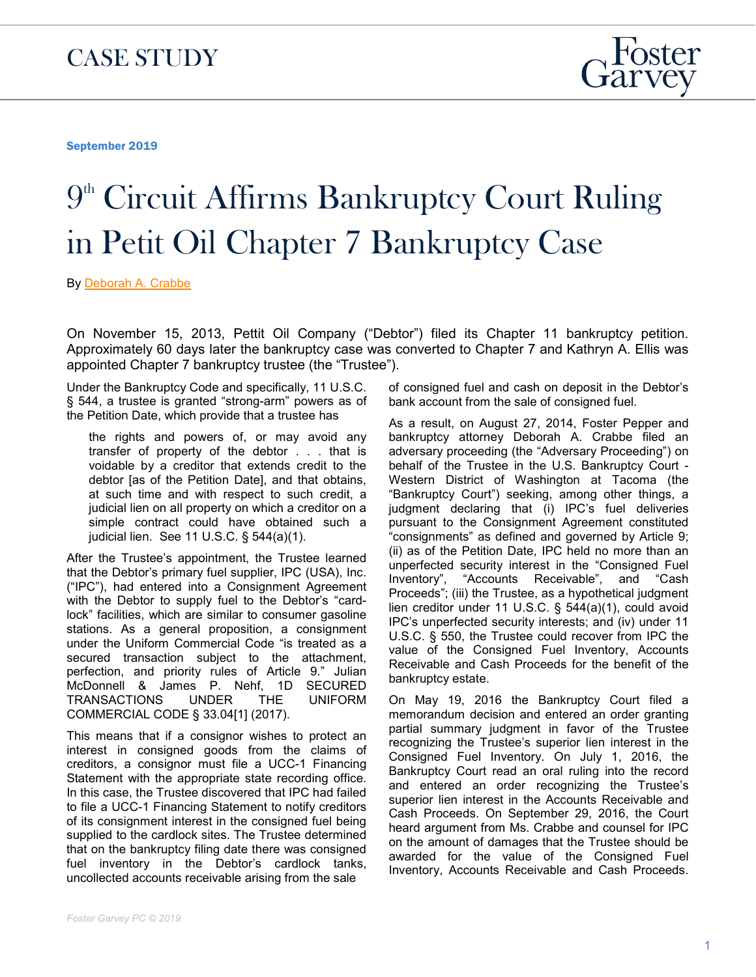September 2019

## $9<sup>th</sup>$  Circuit Affirms Bankruptcy Court Ruling in Petit Oil Chapter 7 Bankruptcy Case

By [Deborah A. Crabbe](http://sitepilot06.firmseek.com/client/fostergarvey/www/people-deborah-crabbe)

On November 15, 2013, Pettit Oil Company ("Debtor") filed its Chapter 11 bankruptcy petition. Approximately 60 days later the bankruptcy case was converted to Chapter 7 and Kathryn A. Ellis was appointed Chapter 7 bankruptcy trustee (the "Trustee").

Under the Bankruptcy Code and specifically, 11 U.S.C. § 544, a trustee is granted "strong-arm" powers as of the Petition Date, which provide that a trustee has

the rights and powers of, or may avoid any transfer of property of the debtor . . . that is voidable by a creditor that extends credit to the debtor [as of the Petition Date], and that obtains, at such time and with respect to such credit, a judicial lien on all property on which a creditor on a simple contract could have obtained such a judicial lien. See 11 U.S.C. § 544(a)(1).

After the Trustee's appointment, the Trustee learned that the Debtor's primary fuel supplier, IPC (USA), Inc. ("IPC"), had entered into a Consignment Agreement with the Debtor to supply fuel to the Debtor's "cardlock" facilities, which are similar to consumer gasoline stations. As a general proposition, a consignment under the Uniform Commercial Code "is treated as a secured transaction subject to the attachment, perfection, and priority rules of Article 9." Julian McDonnell & James P. Nehf, 1D SECURED TRANSACTIONS UNDER THE UNIFORM COMMERCIAL CODE § 33.04[1] (2017).

This means that if a consignor wishes to protect an interest in consigned goods from the claims of creditors, a consignor must file a UCC-1 Financing Statement with the appropriate state recording office. In this case, the Trustee discovered that IPC had failed to file a UCC-1 Financing Statement to notify creditors of its consignment interest in the consigned fuel being supplied to the cardlock sites. The Trustee determined that on the bankruptcy filing date there was consigned fuel inventory in the Debtor's cardlock tanks, uncollected accounts receivable arising from the sale

of consigned fuel and cash on deposit in the Debtor's bank account from the sale of consigned fuel.

As a result, on August 27, 2014, Foster Pepper and bankruptcy attorney Deborah A. Crabbe filed an adversary proceeding (the "Adversary Proceeding") on behalf of the Trustee in the U.S. Bankruptcy Court - Western District of Washington at Tacoma (the "Bankruptcy Court") seeking, among other things, a judgment declaring that (i) IPC's fuel deliveries pursuant to the Consignment Agreement constituted "consignments" as defined and governed by Article 9; (ii) as of the Petition Date, IPC held no more than an unperfected security interest in the "Consigned Fuel Inventory", "Accounts Receivable", and "Cash Proceeds"; (iii) the Trustee, as a hypothetical judgment lien creditor under 11 U.S.C. § 544(a)(1), could avoid IPC's unperfected security interests; and (iv) under 11 U.S.C. § 550, the Trustee could recover from IPC the value of the Consigned Fuel Inventory, Accounts Receivable and Cash Proceeds for the benefit of the bankruptcy estate.

On May 19, 2016 the Bankruptcy Court filed a memorandum decision and entered an order granting partial summary judgment in favor of the Trustee recognizing the Trustee's superior lien interest in the Consigned Fuel Inventory. On July 1, 2016, the Bankruptcy Court read an oral ruling into the record and entered an order recognizing the Trustee's superior lien interest in the Accounts Receivable and Cash Proceeds. On September 29, 2016, the Court heard argument from Ms. Crabbe and counsel for IPC on the amount of damages that the Trustee should be awarded for the value of the Consigned Fuel Inventory, Accounts Receivable and Cash Proceeds.